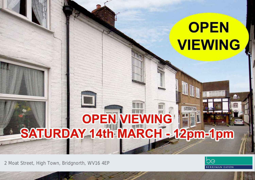## **OPEN VIEWING**

# SATURDAY 14th MARCH - 12pm-1pm

2 Moat Street, High Town, Bridgnorth, WV16 4EP



**BU**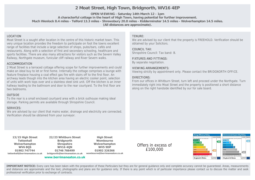### **2 Moat Street, High Town, Bridgnorth, WV16 4EP**

**OPEN VIEWING - Saturday 14th March 12 - 1pm**

**A characterful cottage in the heart of High Town, having potential for further improvement. Much Wenlock 8.4 miles - Telford 13.3 miles - Shrewsbury 20.8 miles - Kidderminster 14.5 miles - Wolverhampton 14.5 miles.**

**(All distances are approximate).**

#### LOCATION

Moat Street is a sought after location in the centre of this historic market town. This very unique location provides the freedom to participate on foot the towns excellent range of facilities that include a large selection of shops, pubs/bars, cafés and restaurants. Along with a selection of first and secondary schooling, healthcare and sports facilities. There are also many attractions for visitors such as the Severn Valley Railway, Northgate museum, funicular cliff railway and River Severn walks.

#### ACCOMMODATION

2 Moat Street is a terraced cottage offering scope for further improvements and could make an ideal buy to let or first home. Internally the cottage comprises a lounge with feature fireplace housing a coal effect gas fire with stairs off to the first floor. An archway leads though into the kitchen area having an electric cooker point, selection of units with work tops over and a stainless steel sink unit. Off the kitchen is an inner hallway leading to the bathroom and door to the rear courtyard. To the first floor are two bedrooms.

#### **OUTSIDE**

To the rear is a small enclosed courtyard area with a brick outhouse making ideal storage. Parking permits are available through Shropshire Council.

#### SERVICES:

We are advised by our client that mains water, drainage and electricity are connected. Verification should be obtained from your surveyor.

#### TENURE:

We are advised by our client that the property is FREEHOLD. Verification should be obtained by your Solicitors.

#### COUNCIL TAX:

Shropshire Council: Tax band: B.

#### FIXTURES AND FITTINGS:

By separate negotiation.

#### VIEWING ARRANGEMENTS:

Viewing strictly by appointment only. Please contact the BRIDGNORTH OFFICE.

#### DIRECTIONS:

From our offices in Whitburn Street, turn left and proceed under the Northgate. Turn immediately right into Moat Street and the property is positioned a short distance along on the right handside identified by our for sale board.

**13/15 High Street Tettenhall Wolverhampton WV6 8QS 01902 747744 tettenhall@berrimaneaton.co.uk**

**22/23 Whitburn Street Bridgnorth Shropshire WV16 4QN 01746 766499 bridgnorth@berrimaneaton.co.uk**

**www.berrimaneaton.co.uk**

**High Street Wombourne Wolverhampton WV5 9DP 01902 326366 wombourne@berrimaneaton.co.uk**

Offers in excess of £100,000



**IMPORTANT NOTICE:** Every care has been taken with the preparation of these Particulars but they are for general guidance only and complete accuracy cannot be guaranteed. Areas, measurements and distances are approximate and the text, photographs and plans are for guidance only. If there is any point which is of particular importance please contact us to discuss the matter and seek professional verification prior to exchange of contracts.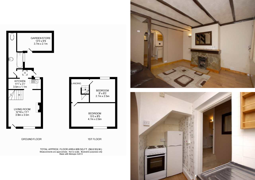

LANDING BEDROOM<br>9' x 8'2  $2.7m \times 2.5m$ BEDROOM<br>15'5 x 8'5<br>4.7m x 2.6m

**GROUND FLOOR** 

1ST FLOOR

TOTAL APPROX. FLOOR AREA 609 SQ.FT. (56.6 SQ.M.)<br>Measurements are approximate. Not to scale. Illustrative purposes only<br>Made with Metropix ©2013